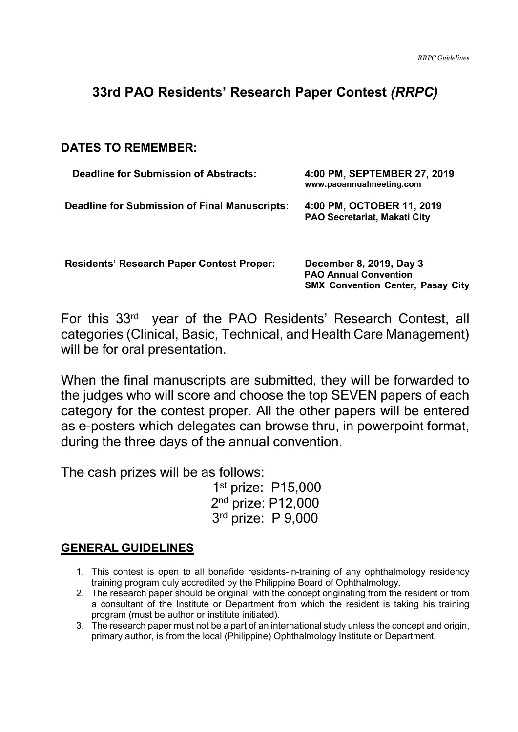# **33rd PAO Residents' Research Paper Contest** *(RRPC)*

**DATES TO REMEMBER:** 

| <b>Deadline for Submission of Abstracts:</b>         | 4:00 PM, SEPTEMBER 27, 2019<br>www.paoannualmeeting.com          |
|------------------------------------------------------|------------------------------------------------------------------|
| <b>Deadline for Submission of Final Manuscripts:</b> | 4:00 PM, OCTOBER 11, 2019<br><b>PAO Secretariat, Makati City</b> |

**Residents' Research Paper Contest Proper: December 8, 2019, Day 3** 

 **PAO Annual Convention SMX Convention Center, Pasay City** 

For this 33rd year of the PAO Residents' Research Contest, all categories (Clinical, Basic, Technical, and Health Care Management) will be for oral presentation.

When the final manuscripts are submitted, they will be forwarded to the judges who will score and choose the top SEVEN papers of each category for the contest proper. All the other papers will be entered as e-posters which delegates can browse thru, in powerpoint format, during the three days of the annual convention.

The cash prizes will be as follows:

1st prize: P15,000 2<sup>nd</sup> prize: P12,000 3 rd prize: P 9,000

# **GENERAL GUIDELINES**

- 1. This contest is open to all bonafide residents-in-training of any ophthalmology residency training program duly accredited by the Philippine Board of Ophthalmology.
- 2. The research paper should be original, with the concept originating from the resident or from a consultant of the Institute or Department from which the resident is taking his training program (must be author or institute initiated).
- 3. The research paper must not be a part of an international study unless the concept and origin, primary author, is from the local (Philippine) Ophthalmology Institute or Department.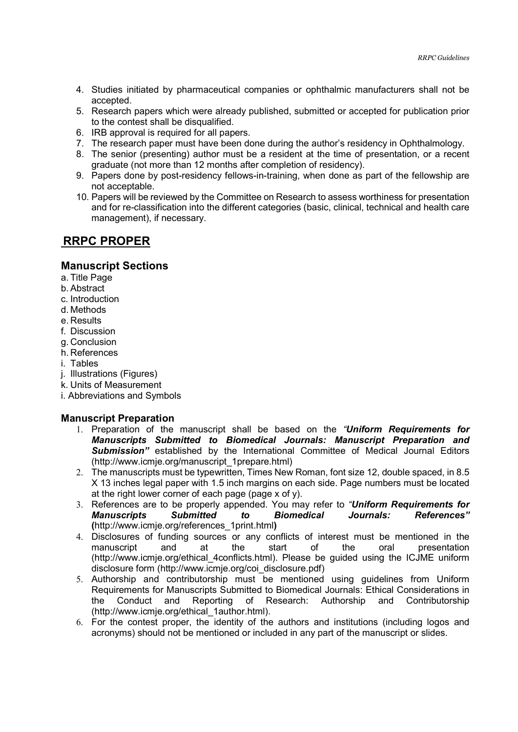- 4. Studies initiated by pharmaceutical companies or ophthalmic manufacturers shall not be accepted.
- 5. Research papers which were already published, submitted or accepted for publication prior to the contest shall be disqualified.
- 6. IRB approval is required for all papers.
- 7. The research paper must have been done during the author's residency in Ophthalmology.
- 8. The senior (presenting) author must be a resident at the time of presentation, or a recent graduate (not more than 12 months after completion of residency).
- 9. Papers done by post-residency fellows-in-training, when done as part of the fellowship are not acceptable.
- 10. Papers will be reviewed by the Committee on Research to assess worthiness for presentation and for re-classification into the different categories (basic, clinical, technical and health care management), if necessary.

### **RRPC PROPER**

### **Manuscript Sections**

- a. Title Page
- b. Abstract
- c. Introduction
- d. Methods
- e. Results
- f. Discussion
- g. Conclusion
- h. References
- i. Tables
- j. Illustrations (Figures)
- k. Units of Measurement
- i. Abbreviations and Symbols

### **Manuscript Preparation**

- 1. Preparation of the manuscript shall be based on the *"Uniform Requirements for Manuscripts Submitted to Biomedical Journals: Manuscript Preparation and Submission"* established by the International Committee of Medical Journal Editors (http://www.icmje.org/manuscript\_1prepare.html)
- 2. The manuscripts must be typewritten, Times New Roman, font size 12, double spaced, in 8.5 X 13 inches legal paper with 1.5 inch margins on each side. Page numbers must be located at the right lower corner of each page (page x of y).
- 3. References are to be properly appended. You may refer to *"Uniform Requirements for Manuscripts Submitted to Biomedical Journals: References"* **(**http://www.icmje.org/references\_1print.html**)**
- 4. Disclosures of funding sources or any conflicts of interest must be mentioned in the manuscript and at the start of the oral presentation (http://www.icmje.org/ethical\_4conflicts.html). Please be guided using the ICJME uniform disclosure form (http://www.icmje.org/coi\_disclosure.pdf)
- 5. Authorship and contributorship must be mentioned using guidelines from Uniform Requirements for Manuscripts Submitted to Biomedical Journals: Ethical Considerations in the Conduct and Reporting of Research: Authorship and Contributorship (http://www.icmje.org/ethical\_1author.html).
- 6. For the contest proper, the identity of the authors and institutions (including logos and acronyms) should not be mentioned or included in any part of the manuscript or slides.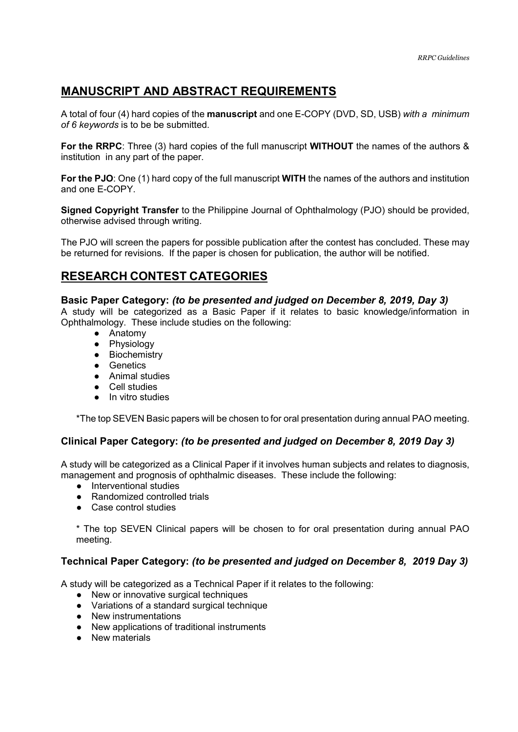## **MANUSCRIPT AND ABSTRACT REQUIREMENTS**

A total of four (4) hard copies of the **manuscript** and one E-COPY (DVD, SD, USB) *with a minimum of 6 keywords* is to be be submitted.

**For the RRPC**: Three (3) hard copies of the full manuscript **WITHOUT** the names of the authors & institution in any part of the paper.

**For the PJO**: One (1) hard copy of the full manuscript **WITH** the names of the authors and institution and one E-COPY.

**Signed Copyright Transfer** to the Philippine Journal of Ophthalmology (PJO) should be provided, otherwise advised through writing.

The PJO will screen the papers for possible publication after the contest has concluded. These may be returned for revisions. If the paper is chosen for publication, the author will be notified.

### **RESEARCH CONTEST CATEGORIES**

#### **Basic Paper Category:** *(to be presented and judged on December 8, 2019, Day 3)*

A study will be categorized as a Basic Paper if it relates to basic knowledge/information in Ophthalmology. These include studies on the following:

- Anatomy
- Physiology
- Biochemistry
- Genetics
- Animal studies
- Cell studies
- In vitro studies

\*The top SEVEN Basic papers will be chosen to for oral presentation during annual PAO meeting.

#### **Clinical Paper Category:** *(to be presented and judged on December 8, 2019 Day 3)*

A study will be categorized as a Clinical Paper if it involves human subjects and relates to diagnosis, management and prognosis of ophthalmic diseases. These include the following:

- Interventional studies
- Randomized controlled trials
- Case control studies

\* The top SEVEN Clinical papers will be chosen to for oral presentation during annual PAO meeting.

### **Technical Paper Category:** *(to be presented and judged on December 8, 2019 Day 3)*

A study will be categorized as a Technical Paper if it relates to the following:

- New or innovative surgical techniques
- Variations of a standard surgical technique
- New instrumentations
- New applications of traditional instruments
- New materials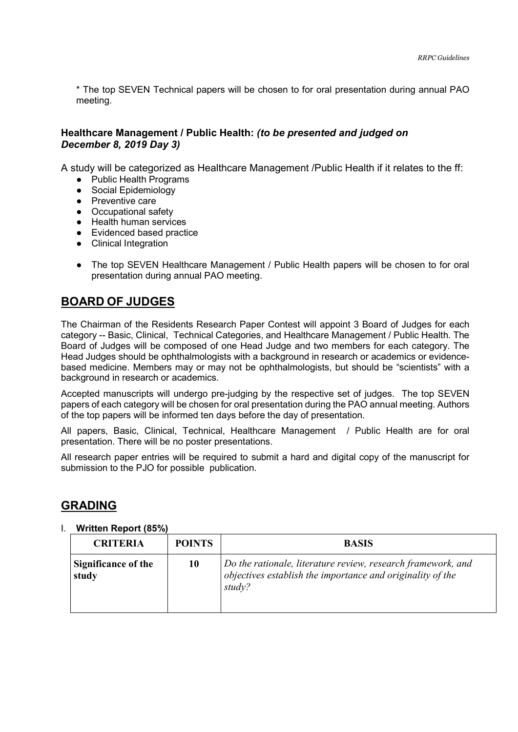\* The top SEVEN Technical papers will be chosen to for oral presentation during annual PAO meeting.

### **Healthcare Management / Public Health:** *(to be presented and judged on December 8, 2019 Day 3)*

A study will be categorized as Healthcare Management /Public Health if it relates to the ff:

- Public Health Programs
- Social Epidemiology
- Preventive care
- Occupational safety
- Health human services
- Evidenced based practice
- Clinical Integration
- The top SEVEN Healthcare Management / Public Health papers will be chosen to for oral presentation during annual PAO meeting.

### **BOARD OF JUDGES**

The Chairman of the Residents Research Paper Contest will appoint 3 Board of Judges for each category -- Basic, Clinical, Technical Categories, and Healthcare Management / Public Health. The Board of Judges will be composed of one Head Judge and two members for each category. The Head Judges should be ophthalmologists with a background in research or academics or evidencebased medicine. Members may or may not be ophthalmologists, but should be "scientists" with a background in research or academics.

Accepted manuscripts will undergo pre-judging by the respective set of judges. The top SEVEN papers of each category will be chosen for oral presentation during the PAO annual meeting. Authors of the top papers will be informed ten days before the day of presentation.

All papers, Basic, Clinical, Technical, Healthcare Management / Public Health are for oral presentation. There will be no poster presentations.

All research paper entries will be required to submit a hard and digital copy of the manuscript for submission to the PJO for possible publication.

### **GRADING**

| <b>CRITERIA</b>                     | <b>POINTS</b> | <b>BASIS</b>                                                                                                                         |
|-------------------------------------|---------------|--------------------------------------------------------------------------------------------------------------------------------------|
| <b>Significance of the</b><br>study | 10            | Do the rationale, literature review, research framework, and<br>objectives establish the importance and originality of the<br>study? |

#### I. **Written Report (85%)**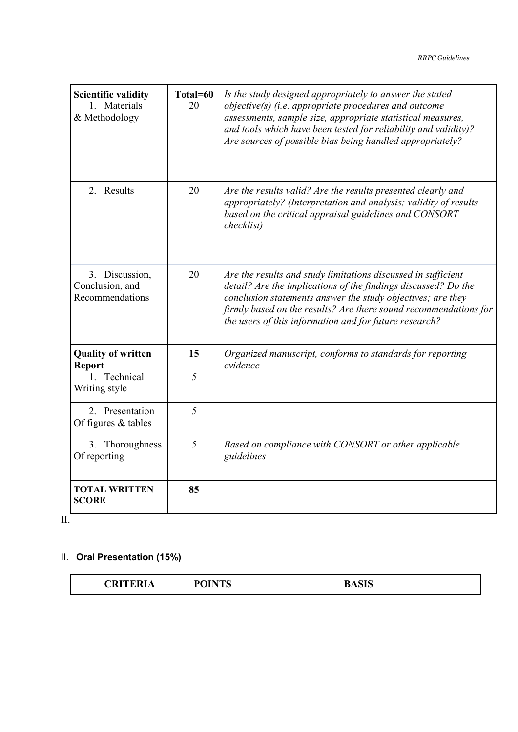| <b>Scientific validity</b><br>1. Materials<br>& Methodology                 | Total=60<br>20 | Is the study designed appropriately to answer the stated<br>objective(s) (i.e. appropriate procedures and outcome<br>assessments, sample size, appropriate statistical measures,<br>and tools which have been tested for reliability and validity)?<br>Are sources of possible bias being handled appropriately?             |
|-----------------------------------------------------------------------------|----------------|------------------------------------------------------------------------------------------------------------------------------------------------------------------------------------------------------------------------------------------------------------------------------------------------------------------------------|
| 2. Results                                                                  | 20             | Are the results valid? Are the results presented clearly and<br>appropriately? (Interpretation and analysis; validity of results<br>based on the critical appraisal guidelines and CONSORT<br>checklist)                                                                                                                     |
| 3. Discussion,<br>Conclusion, and<br>Recommendations                        | 20             | Are the results and study limitations discussed in sufficient<br>detail? Are the implications of the findings discussed? Do the<br>conclusion statements answer the study objectives; are they<br>firmly based on the results? Are there sound recommendations for<br>the users of this information and for future research? |
| <b>Quality of written</b><br><b>Report</b><br>1. Technical<br>Writing style | 15<br>5        | Organized manuscript, conforms to standards for reporting<br>evidence                                                                                                                                                                                                                                                        |
| 2. Presentation<br>Of figures & tables                                      | 5              |                                                                                                                                                                                                                                                                                                                              |
| 3. Thoroughness<br>Of reporting                                             | 5              | Based on compliance with CONSORT or other applicable<br>guidelines                                                                                                                                                                                                                                                           |
| <b>TOTAL WRITTEN</b><br><b>SCORE</b>                                        | 85             |                                                                                                                                                                                                                                                                                                                              |

II.

### II. **Oral Presentation (15%)**

| $\sim$ $\sim$ $\sim$ $\sim$ $\sim$ $\sim$<br>'RI<br>$\sqrt{ }$ | TAITE<br>$\mathbf{L} \mathbf{D}$<br>$\mathbf{v}$ | $\sim -\sim$<br>D<br>DADID |
|----------------------------------------------------------------|--------------------------------------------------|----------------------------|
|----------------------------------------------------------------|--------------------------------------------------|----------------------------|